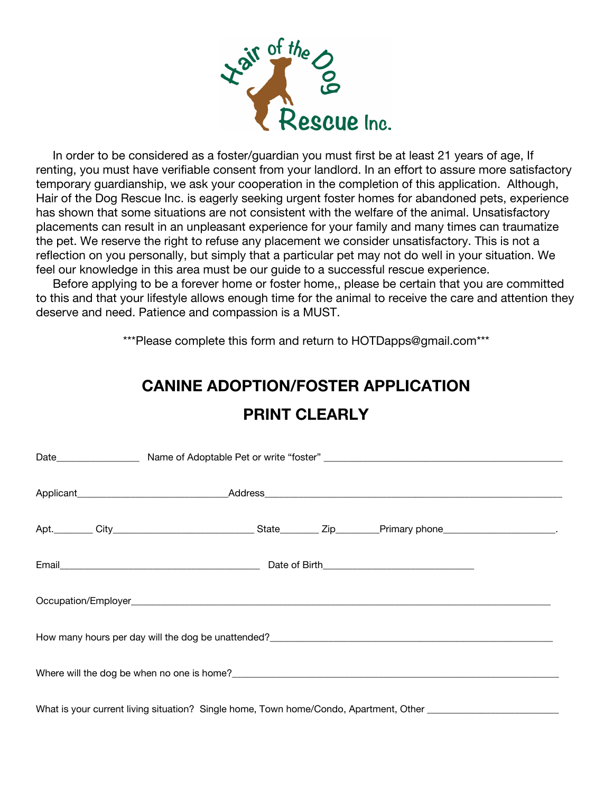

renting, you must have verifiable consent from your landlord. In an effort to assure more satisfactory temporary guardianship, we ask your cooperation in the completion of this application. Although, Hair of the Dog Rescue Inc. is eagerly seeking urgent foster homes for abandoned pets, experience has shown that some situations are not consistent with the welfare of the animal. Unsatisfactory placements can result in an unpleasant experience for your family and many times can traumatize the pet. We reserve the right to refuse any placement we consider unsatisfactory. This is not a reflection on you personally, but simply that a particular pet may not do well in your situation. We feel our knowledge in this area must be our guide to a successful rescue experience.

 Before applying to be a forever home or foster home,, please be certain that you are committed to this and that your lifestyle allows enough time for the animal to receive the care and attention they deserve and need. Patience and compassion is a MUST.

\*\*\*Please complete this form and return to HOTDapps@gmail.com\*\*\*

## **CANINE ADOPTION/FOSTER APPLICATION**

| What is your current living situation? Single home, Town home/Condo, Apartment, Other ________________________ |  |  |  |  |  |  |  |
|----------------------------------------------------------------------------------------------------------------|--|--|--|--|--|--|--|

## **PRINT CLEARLY**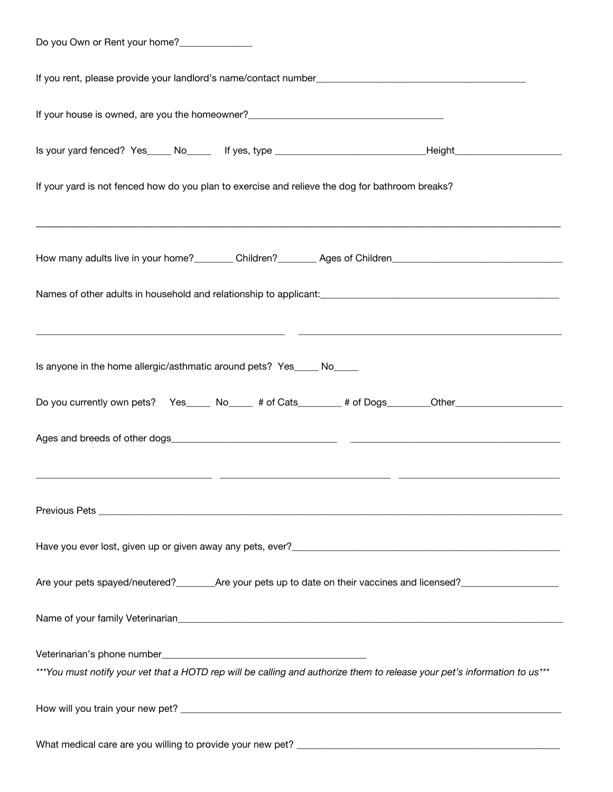| Do you Own or Rent your home? |  |
|-------------------------------|--|
|-------------------------------|--|

| Is your yard fenced? Yes____ No____ If yes, type _______________________________Height________________________            |  |  |  |  |  |  |  |  |
|---------------------------------------------------------------------------------------------------------------------------|--|--|--|--|--|--|--|--|
| If your yard is not fenced how do you plan to exercise and relieve the dog for bathroom breaks?                           |  |  |  |  |  |  |  |  |
| How many adults live in your home?_________ Children?________ Ages of Children________________________________            |  |  |  |  |  |  |  |  |
|                                                                                                                           |  |  |  |  |  |  |  |  |
| Is anyone in the home allergic/asthmatic around pets? Yes_____ No_____                                                    |  |  |  |  |  |  |  |  |
| Do you currently own pets? Yes____ No____ # of Cats______ # of Dogs_______Other____________________                       |  |  |  |  |  |  |  |  |
| <u> 1999 - Jacques Alexandro (h. 1989).</u><br>1900 - John Barnett, fransk politik (h. 1900).                             |  |  |  |  |  |  |  |  |
|                                                                                                                           |  |  |  |  |  |  |  |  |
|                                                                                                                           |  |  |  |  |  |  |  |  |
|                                                                                                                           |  |  |  |  |  |  |  |  |
|                                                                                                                           |  |  |  |  |  |  |  |  |
| ***You must notify your vet that a HOTD rep will be calling and authorize them to release your pet's information to us*** |  |  |  |  |  |  |  |  |
|                                                                                                                           |  |  |  |  |  |  |  |  |
|                                                                                                                           |  |  |  |  |  |  |  |  |